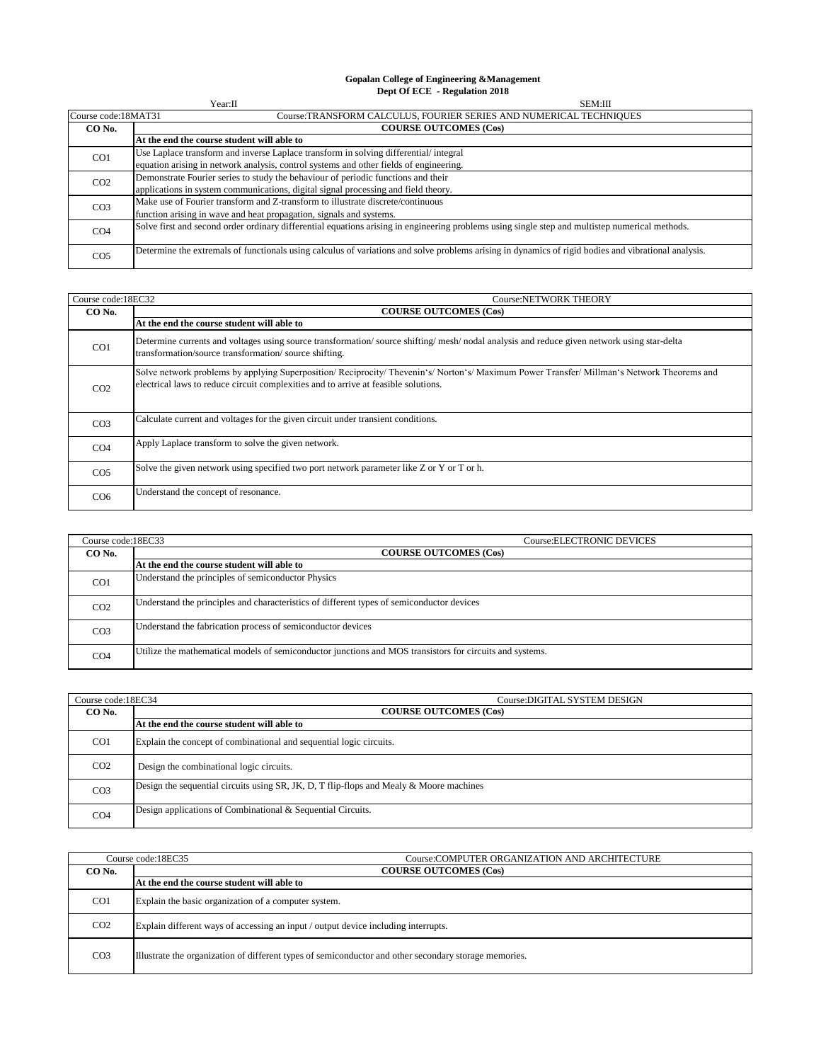## **Gopalan College of Engineering &Management Dept Of ECE - Regulation 2018**

| Year:II<br><b>SEM:III</b>              |                                                                                                                                                      |
|----------------------------------------|------------------------------------------------------------------------------------------------------------------------------------------------------|
| Course code:18MAT31                    | Course:TRANSFORM CALCULUS, FOURIER SERIES AND NUMERICAL TECHNIQUES                                                                                   |
| <b>COURSE OUTCOMES (Cos)</b><br>CO No. |                                                                                                                                                      |
|                                        | At the end the course student will able to                                                                                                           |
| CO <sub>1</sub>                        | Use Laplace transform and inverse Laplace transform in solving differential/integral                                                                 |
|                                        | equation arising in network analysis, control systems and other fields of engineering.                                                               |
| CO <sub>2</sub>                        | Demonstrate Fourier series to study the behaviour of periodic functions and their                                                                    |
|                                        | applications in system communications, digital signal processing and field theory.                                                                   |
| CO <sub>3</sub>                        | Make use of Fourier transform and Z-transform to illustrate discrete/continuous                                                                      |
|                                        | function arising in wave and heat propagation, signals and systems.                                                                                  |
| CO <sub>4</sub>                        | Solve first and second order ordinary differential equations arising in engineering problems using single step and multistep numerical methods.      |
| CO <sub>5</sub>                        | Determine the extremals of functionals using calculus of variations and solve problems arising in dynamics of rigid bodies and vibrational analysis. |

| Course code:18EC32<br>Course:NETWORK THEORY |                                                                                                                                                                                                                               |  |
|---------------------------------------------|-------------------------------------------------------------------------------------------------------------------------------------------------------------------------------------------------------------------------------|--|
| CO No.                                      | <b>COURSE OUTCOMES (Cos)</b>                                                                                                                                                                                                  |  |
|                                             | At the end the course student will able to                                                                                                                                                                                    |  |
| CO <sub>1</sub>                             | Determine currents and voltages using source transformation/source shifting/mesh/nodal analysis and reduce given network using star-delta<br>transformation/source transformation/source shifting.                            |  |
| CO <sub>2</sub>                             | Solve network problems by applying Superposition/Reciprocity/Thevenin's/Norton's/Maximum Power Transfer/Millman's Network Theorems and<br>electrical laws to reduce circuit complexities and to arrive at feasible solutions. |  |
| CO <sub>3</sub>                             | Calculate current and voltages for the given circuit under transient conditions.                                                                                                                                              |  |
| CO <sub>4</sub>                             | Apply Laplace transform to solve the given network.                                                                                                                                                                           |  |
| CO <sub>5</sub>                             | Solve the given network using specified two port network parameter like Z or Y or T or h.                                                                                                                                     |  |
| CO <sub>6</sub>                             | Understand the concept of resonance.                                                                                                                                                                                          |  |

| Course code:18EC33<br><b>Course:ELECTRONIC DEVICES</b> |                                                                                                          |  |
|--------------------------------------------------------|----------------------------------------------------------------------------------------------------------|--|
| CO No.                                                 | <b>COURSE OUTCOMES (Cos)</b>                                                                             |  |
|                                                        | At the end the course student will able to                                                               |  |
| CO <sub>1</sub>                                        | Understand the principles of semiconductor Physics                                                       |  |
| CO <sub>2</sub>                                        | Understand the principles and characteristics of different types of semiconductor devices                |  |
| CO <sub>3</sub>                                        | Understand the fabrication process of semiconductor devices                                              |  |
| CO <sub>4</sub>                                        | Utilize the mathematical models of semiconductor junctions and MOS transistors for circuits and systems. |  |

| Course code:18EC34 | Course: DIGITAL SYSTEM DESIGN                                                                 |  |
|--------------------|-----------------------------------------------------------------------------------------------|--|
| CO No.             | <b>COURSE OUTCOMES (Cos)</b>                                                                  |  |
|                    | At the end the course student will able to                                                    |  |
| CO <sub>1</sub>    | Explain the concept of combinational and sequential logic circuits.                           |  |
| CO <sub>2</sub>    | Design the combinational logic circuits.                                                      |  |
| CO <sub>3</sub>    | Design the sequential circuits using $SR$ , JK, D, T flip-flops and Mealy $\&$ Moore machines |  |
| CO <sub>4</sub>    | Design applications of Combinational & Sequential Circuits.                                   |  |

|                 | Course:COMPUTER ORGANIZATION AND ARCHITECTURE<br>Course code:18EC35                                   |  |
|-----------------|-------------------------------------------------------------------------------------------------------|--|
| CO No.          | <b>COURSE OUTCOMES (Cos)</b>                                                                          |  |
|                 | At the end the course student will able to                                                            |  |
| CO <sub>1</sub> | Explain the basic organization of a computer system.                                                  |  |
| CO <sub>2</sub> | Explain different ways of accessing an input / output device including interrupts.                    |  |
| CO <sub>3</sub> | Illustrate the organization of different types of semiconductor and other secondary storage memories. |  |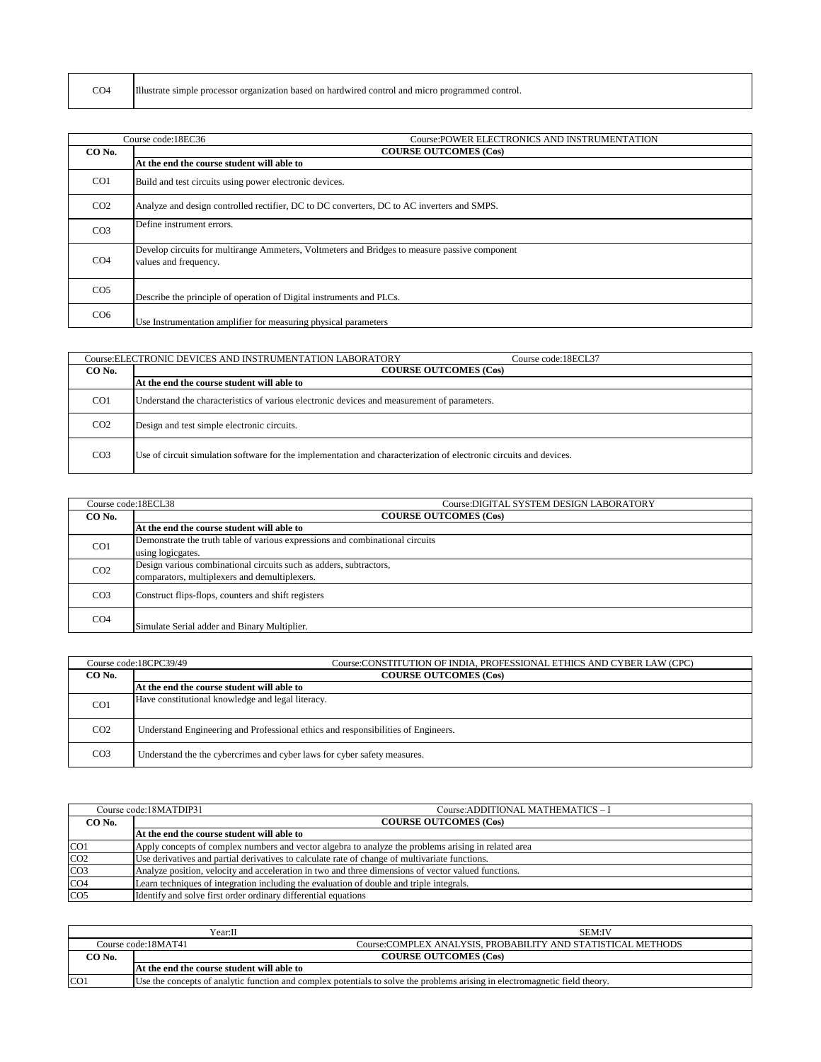| CO <sub>4</sub> | 'ПЪ.<br>r organization based on hardwired control and.<br>1 micro programmed c<br>. proc<br>simple |
|-----------------|----------------------------------------------------------------------------------------------------|
|-----------------|----------------------------------------------------------------------------------------------------|

|                 | Course: POWER ELECTRONICS AND INSTRUMENTATION<br>Course code:18EC36                                                    |  |
|-----------------|------------------------------------------------------------------------------------------------------------------------|--|
| CO No.          | <b>COURSE OUTCOMES (Cos)</b>                                                                                           |  |
|                 | At the end the course student will able to                                                                             |  |
| CO <sub>1</sub> | Build and test circuits using power electronic devices.                                                                |  |
| CO <sub>2</sub> | Analyze and design controlled rectifier, DC to DC converters, DC to AC inverters and SMPS.                             |  |
| CO <sub>3</sub> | Define instrument errors.                                                                                              |  |
| CO <sub>4</sub> | Develop circuits for multirange Ammeters, Voltmeters and Bridges to measure passive component<br>values and frequency. |  |
| CO <sub>5</sub> | Describe the principle of operation of Digital instruments and PLCs.                                                   |  |
| CO <sub>6</sub> | Use Instrumentation amplifier for measuring physical parameters                                                        |  |

|                 | Course: ELECTRONIC DEVICES AND INSTRUMENTATION LABORATORY<br>Course code:18ECL37                                   |  |  |
|-----------------|--------------------------------------------------------------------------------------------------------------------|--|--|
| CO No.          | <b>COURSE OUTCOMES (Cos)</b>                                                                                       |  |  |
|                 | At the end the course student will able to                                                                         |  |  |
| CO <sub>1</sub> | Understand the characteristics of various electronic devices and measurement of parameters.                        |  |  |
| CO <sub>2</sub> | Design and test simple electronic circuits.                                                                        |  |  |
| CO <sub>3</sub> | Use of circuit simulation software for the implementation and characterization of electronic circuits and devices. |  |  |

|                 | Course: DIGITAL SYSTEM DESIGN LABORATORY<br>Course code:18ECL38               |  |
|-----------------|-------------------------------------------------------------------------------|--|
| CO No.          | <b>COURSE OUTCOMES (Cos)</b>                                                  |  |
|                 | At the end the course student will able to                                    |  |
| CO <sub>1</sub> | Demonstrate the truth table of various expressions and combinational circuits |  |
|                 | using logicgates.                                                             |  |
| CO <sub>2</sub> | Design various combinational circuits such as adders, subtractors,            |  |
|                 | comparators, multiplexers and demultiplexers.                                 |  |
| CO <sub>3</sub> | Construct flips-flops, counters and shift registers                           |  |
| CO <sub>4</sub> | Simulate Serial adder and Binary Multiplier.                                  |  |

|                 | Course code:18CPC39/49<br>Course:CONSTITUTION OF INDIA, PROFESSIONAL ETHICS AND CYBER LAW (CPC) |  |
|-----------------|-------------------------------------------------------------------------------------------------|--|
| CO No.          | <b>COURSE OUTCOMES (Cos)</b>                                                                    |  |
|                 | At the end the course student will able to                                                      |  |
| CO <sub>1</sub> | Have constitutional knowledge and legal literacy.                                               |  |
| CO <sub>2</sub> | Understand Engineering and Professional ethics and responsibilities of Engineers.               |  |
| CO <sub>3</sub> | Understand the the cybercrimes and cyber laws for cyber safety measures.                        |  |

|                 | Course code:18MATDIP31<br>Course: ADDITIONAL MATHEMATICS - I                                         |  |
|-----------------|------------------------------------------------------------------------------------------------------|--|
| CO No.          | <b>COURSE OUTCOMES (Cos)</b>                                                                         |  |
|                 | At the end the course student will able to                                                           |  |
| CO <sub>1</sub> | Apply concepts of complex numbers and vector algebra to analyze the problems arising in related area |  |
| CO <sub>2</sub> | Use derivatives and partial derivatives to calculate rate of change of multivariate functions.       |  |
| CO <sub>3</sub> | Analyze position, velocity and acceleration in two and three dimensions of vector valued functions.  |  |
| CO <sub>4</sub> | Learn techniques of integration including the evaluation of double and triple integrals.             |  |
| CO <sub>5</sub> | Identify and solve first order ordinary differential equations                                       |  |

| Year:∏          |                                                                                                                             | <b>SEM:IV</b>                                                |
|-----------------|-----------------------------------------------------------------------------------------------------------------------------|--------------------------------------------------------------|
|                 | Course code:18MAT41                                                                                                         | Course:COMPLEX ANALYSIS, PROBABILITY AND STATISTICAL METHODS |
| CO No.          | <b>COURSE OUTCOMES (Cos)</b>                                                                                                |                                                              |
|                 | At the end the course student will able to                                                                                  |                                                              |
| CO <sub>1</sub> | Use the concepts of analytic function and complex potentials to solve the problems arising in electromagnetic field theory. |                                                              |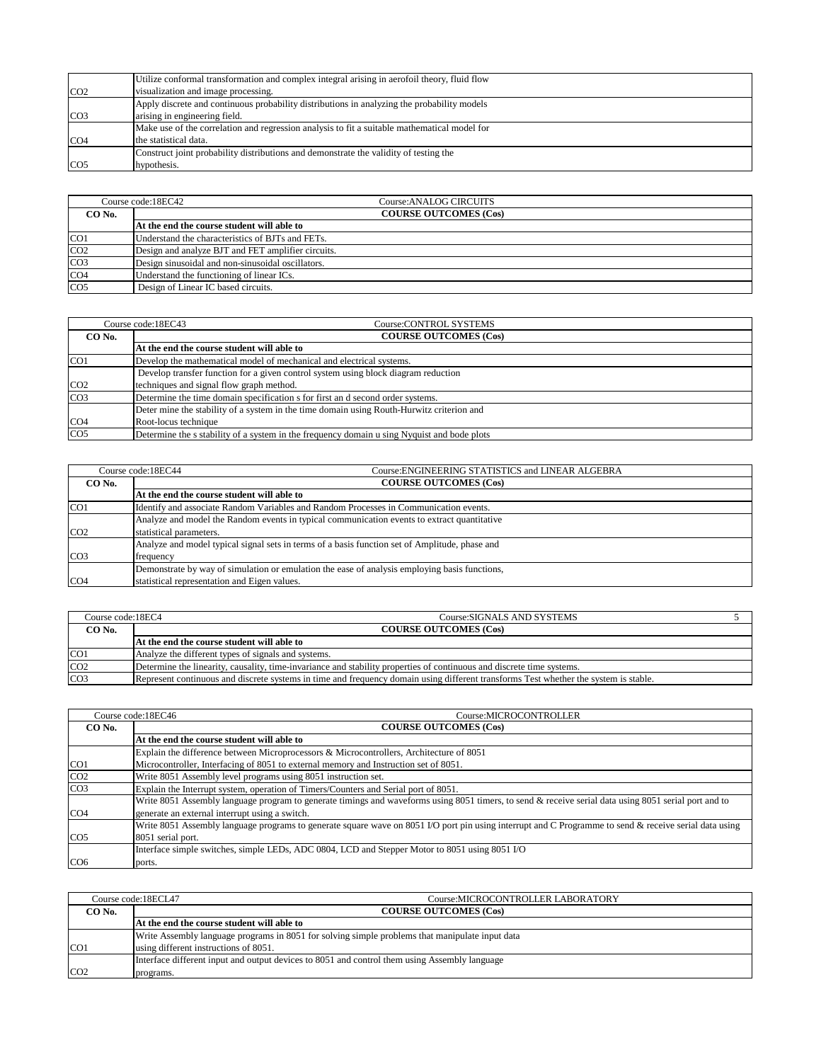|                 | Utilize conformal transformation and complex integral arising in aerofoil theory, fluid flow |
|-----------------|----------------------------------------------------------------------------------------------|
| CO <sub>2</sub> | visualization and image processing.                                                          |
|                 | Apply discrete and continuous probability distributions in analyzing the probability models  |
| CO <sub>3</sub> | arising in engineering field.                                                                |
|                 | Make use of the correlation and regression analysis to fit a suitable mathematical model for |
| CO <sub>4</sub> | the statistical data.                                                                        |
|                 | Construct joint probability distributions and demonstrate the validity of testing the        |
| CO <sub>5</sub> | hypothesis.                                                                                  |

|                 | Course code:18EC42<br>Course:ANALOG CIRCUITS       |                              |  |
|-----------------|----------------------------------------------------|------------------------------|--|
| CO No.          |                                                    | <b>COURSE OUTCOMES (Cos)</b> |  |
|                 | At the end the course student will able to         |                              |  |
| CO <sub>1</sub> | Understand the characteristics of BJTs and FETs.   |                              |  |
| CO <sub>2</sub> | Design and analyze BJT and FET amplifier circuits. |                              |  |
| CO <sub>3</sub> | Design sinusoidal and non-sinusoidal oscillators.  |                              |  |
| CO <sub>4</sub> | Understand the functioning of linear ICs.          |                              |  |
| CO <sub>5</sub> | Design of Linear IC based circuits.                |                              |  |

|                 | Course:CONTROL SYSTEMS<br>Course code:18EC43                                                |
|-----------------|---------------------------------------------------------------------------------------------|
| CO No.          | <b>COURSE OUTCOMES (Cos)</b>                                                                |
|                 | At the end the course student will able to                                                  |
| CO <sub>1</sub> | Develop the mathematical model of mechanical and electrical systems.                        |
|                 | Develop transfer function for a given control system using block diagram reduction          |
| CO <sub>2</sub> | techniques and signal flow graph method.                                                    |
| CO <sub>3</sub> | Determine the time domain specification s for first and second order systems.               |
|                 | Deter mine the stability of a system in the time domain using Routh-Hurwitz criterion and   |
| CO <sub>4</sub> | Root-locus technique                                                                        |
| CO <sub>5</sub> | Determine the s stability of a system in the frequency domain u sing Nyquist and bode plots |

| Course code:18EC44 |                              | Course: ENGINEERING STATISTICS and LINEAR ALGEBRA                                              |
|--------------------|------------------------------|------------------------------------------------------------------------------------------------|
| CO No.             | <b>COURSE OUTCOMES (Cos)</b> |                                                                                                |
|                    |                              | At the end the course student will able to                                                     |
| CO <sub>1</sub>    |                              | Identify and associate Random Variables and Random Processes in Communication events.          |
|                    |                              | Analyze and model the Random events in typical communication events to extract quantitative    |
| CO <sub>2</sub>    | statistical parameters.      |                                                                                                |
|                    |                              | Analyze and model typical signal sets in terms of a basis function set of Amplitude, phase and |
| CO <sub>3</sub>    | frequency                    |                                                                                                |
|                    |                              | Demonstrate by way of simulation or emulation the ease of analysis employing basis functions,  |
| CO <sub>4</sub>    |                              | statistical representation and Eigen values.                                                   |

| Course code:18EC4 | Course:SIGNALS AND SYSTEMS                                                                                                           |  |
|-------------------|--------------------------------------------------------------------------------------------------------------------------------------|--|
| CO No.            | <b>COURSE OUTCOMES (Cos)</b>                                                                                                         |  |
|                   | At the end the course student will able to                                                                                           |  |
| CO <sub>1</sub>   | Analyze the different types of signals and systems.                                                                                  |  |
| CO <sub>2</sub>   | Determine the linearity, causality, time-invariance and stability properties of continuous and discrete time systems.                |  |
| CO <sub>3</sub>   | Represent continuous and discrete systems in time and frequency domain using different transforms Test whether the system is stable. |  |

| Course code:18EC46                     |                   | Course:MICROCONTROLLER                                                                                                                                 |
|----------------------------------------|-------------------|--------------------------------------------------------------------------------------------------------------------------------------------------------|
| <b>COURSE OUTCOMES (Cos)</b><br>CO No. |                   |                                                                                                                                                        |
|                                        |                   | At the end the course student will able to                                                                                                             |
|                                        |                   | Explain the difference between Microprocessors & Microcontrollers, Architecture of 8051                                                                |
| CO <sub>1</sub>                        |                   | Microcontroller, Interfacing of 8051 to external memory and Instruction set of 8051.                                                                   |
| CO <sub>2</sub>                        |                   | Write 8051 Assembly level programs using 8051 instruction set.                                                                                         |
| CO <sub>3</sub>                        |                   | Explain the Interrupt system, operation of Timers/Counters and Serial port of 8051.                                                                    |
|                                        |                   | Write 8051 Assembly language program to generate timings and waveforms using 8051 timers, to send & receive serial data using 8051 serial port and to  |
| CO <sub>4</sub>                        |                   | generate an external interrupt using a switch.                                                                                                         |
|                                        |                   | Write 8051 Assembly language programs to generate square wave on 8051 I/O port pin using interrupt and C Programme to send & receive serial data using |
| CO <sub>5</sub>                        | 8051 serial port. |                                                                                                                                                        |
|                                        |                   | Interface simple switches, simple LEDs, ADC 0804, LCD and Stepper Motor to 8051 using 8051 I/O                                                         |
| CO <sub>6</sub>                        | ports.            |                                                                                                                                                        |

|                 | Course code:18ECL47<br>Course:MICROCONTROLLER LABORATORY                                        |  |
|-----------------|-------------------------------------------------------------------------------------------------|--|
| CO No.          | <b>COURSE OUTCOMES (Cos)</b>                                                                    |  |
|                 | At the end the course student will able to                                                      |  |
|                 | Write Assembly language programs in 8051 for solving simple problems that manipulate input data |  |
| CO <sub>1</sub> | using different instructions of 8051.                                                           |  |
|                 | Interface different input and output devices to 8051 and control them using Assembly language   |  |
| CO <sub>2</sub> | programs.                                                                                       |  |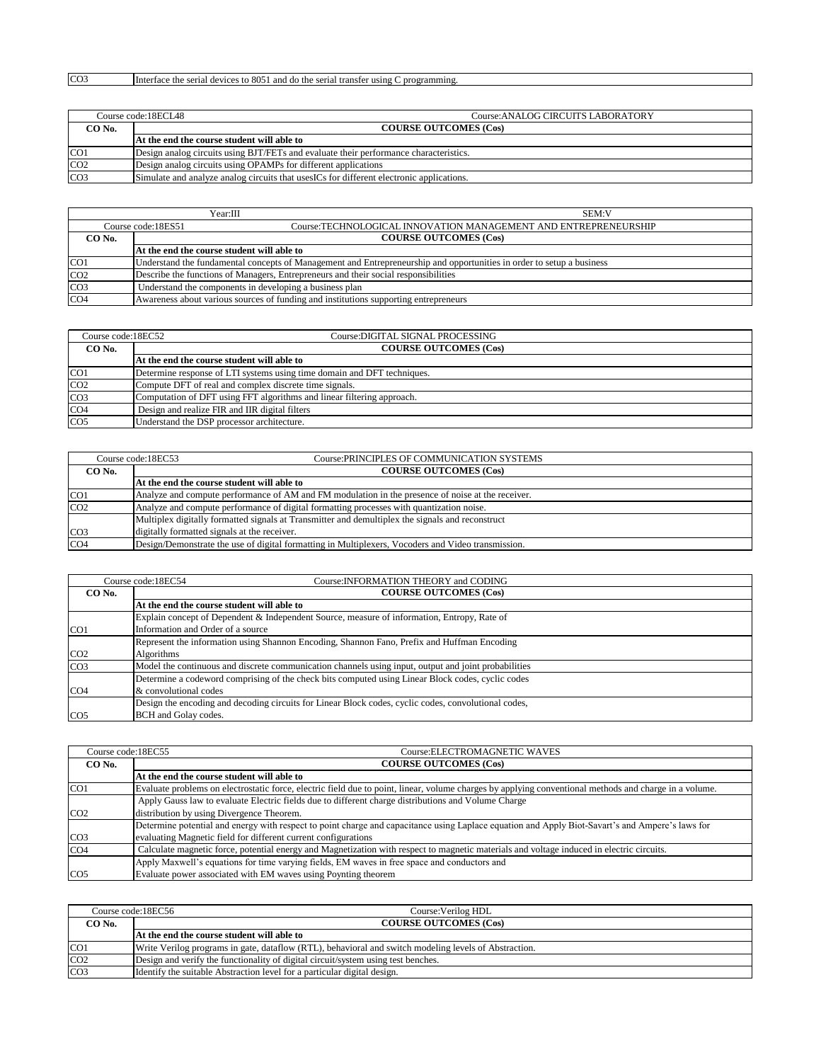## CO3 Interface the serial devices to 8051 and do the serial transfer using C programming.

|                 | Course code:18ECL48                                            | Course:ANALOG CIRCUITS LABORATORY                                                         |
|-----------------|----------------------------------------------------------------|-------------------------------------------------------------------------------------------|
| CO No.          | <b>COURSE OUTCOMES (Cos)</b>                                   |                                                                                           |
|                 | At the end the course student will able to                     |                                                                                           |
| CO <sub>1</sub> |                                                                | Design analog circuits using BJT/FETs and evaluate their performance characteristics.     |
| CO <sub>2</sub> | Design analog circuits using OPAMPs for different applications |                                                                                           |
| CO <sub>3</sub> |                                                                | Simulate and analyze analog circuits that uses ICs for different electronic applications. |

|                 | Year:III                                                                                                              | <b>SEM:V</b> |
|-----------------|-----------------------------------------------------------------------------------------------------------------------|--------------|
|                 | Course:TECHNOLOGICAL INNOVATION MANAGEMENT AND ENTREPRENEURSHIP<br>Course code:18ES51                                 |              |
| CO No.          | <b>COURSE OUTCOMES (Cos)</b>                                                                                          |              |
|                 | At the end the course student will able to                                                                            |              |
| CO <sub>1</sub> | Understand the fundamental concepts of Management and Entrepreneurship and opportunities in order to setup a business |              |
| CO <sub>2</sub> | Describe the functions of Managers, Entrepreneurs and their social responsibilities                                   |              |
| CO <sub>3</sub> | Understand the components in developing a business plan                                                               |              |
| CO <sub>4</sub> | Awareness about various sources of funding and institutions supporting entrepreneurs                                  |              |

| Course code:18EC52 | Course:DIGITAL SIGNAL PROCESSING                                        |  |
|--------------------|-------------------------------------------------------------------------|--|
| CO No.             | <b>COURSE OUTCOMES (Cos)</b>                                            |  |
|                    | At the end the course student will able to                              |  |
| CO <sub>1</sub>    | Determine response of LTI systems using time domain and DFT techniques. |  |
| CO <sub>2</sub>    | Compute DFT of real and complex discrete time signals.                  |  |
| CO <sub>3</sub>    | Computation of DFT using FFT algorithms and linear filtering approach.  |  |
| CO <sub>4</sub>    | Design and realize FIR and IIR digital filters                          |  |
| CO <sub>5</sub>    | Understand the DSP processor architecture.                              |  |

|                 | Course: PRINCIPLES OF COMMUNICATION SYSTEMS<br>Course code:18EC53                                  |  |
|-----------------|----------------------------------------------------------------------------------------------------|--|
| CO No.          | <b>COURSE OUTCOMES (Cos)</b>                                                                       |  |
|                 | At the end the course student will able to                                                         |  |
| CO <sub>1</sub> | Analyze and compute performance of AM and FM modulation in the presence of noise at the receiver.  |  |
| CO <sub>2</sub> | Analyze and compute performance of digital formatting processes with quantization noise.           |  |
|                 | Multiplex digitally formatted signals at Transmitter and demultiplex the signals and reconstruct   |  |
| CO <sub>3</sub> | digitally formatted signals at the receiver.                                                       |  |
| CO <sub>4</sub> | Design/Demonstrate the use of digital formatting in Multiplexers, Vocoders and Video transmission. |  |

|                                        | Course: INFORMATION THEORY and CODING<br>Course code:18EC54                                          |
|----------------------------------------|------------------------------------------------------------------------------------------------------|
| <b>COURSE OUTCOMES (Cos)</b><br>CO No. |                                                                                                      |
|                                        | At the end the course student will able to                                                           |
|                                        | Explain concept of Dependent & Independent Source, measure of information, Entropy, Rate of          |
| CO <sub>1</sub>                        | Information and Order of a source                                                                    |
|                                        | Represent the information using Shannon Encoding, Shannon Fano, Prefix and Huffman Encoding          |
| CO <sub>2</sub>                        | Algorithms                                                                                           |
| CO <sub>3</sub>                        | Model the continuous and discrete communication channels using input, output and joint probabilities |
|                                        | Determine a codeword comprising of the check bits computed using Linear Block codes, cyclic codes    |
| CO <sub>4</sub>                        | & convolutional codes                                                                                |
|                                        | Design the encoding and decoding circuits for Linear Block codes, cyclic codes, convolutional codes, |
| CO <sub>5</sub>                        | <b>BCH</b> and Golay codes.                                                                          |

|                 | Course:ELECTROMAGNETIC WAVES<br>Course code:18EC55                                                                                                     |
|-----------------|--------------------------------------------------------------------------------------------------------------------------------------------------------|
| CO No.          | <b>COURSE OUTCOMES (Cos)</b>                                                                                                                           |
|                 | At the end the course student will able to                                                                                                             |
| CO <sub>1</sub> | Evaluate problems on electrostatic force, electric field due to point, linear, volume charges by applying conventional methods and charge in a volume. |
|                 | Apply Gauss law to evaluate Electric fields due to different charge distributions and Volume Charge                                                    |
| CO <sub>2</sub> | distribution by using Divergence Theorem.                                                                                                              |
|                 | Determine potential and energy with respect to point charge and capacitance using Laplace equation and Apply Biot-Savart's and Ampere's laws for       |
| CO <sub>3</sub> | evaluating Magnetic field for different current configurations                                                                                         |
| CO <sub>4</sub> | Calculate magnetic force, potential energy and Magnetization with respect to magnetic materials and voltage induced in electric circuits.              |
|                 | Apply Maxwell's equations for time varying fields, EM waves in free space and conductors and                                                           |
| CO <sub>5</sub> | Evaluate power associated with EM waves using Poynting theorem                                                                                         |

|                 | Course code:18EC56<br>Course: Verilog HDL                                                             |
|-----------------|-------------------------------------------------------------------------------------------------------|
| CO No.          | <b>COURSE OUTCOMES (Cos)</b>                                                                          |
|                 | At the end the course student will able to                                                            |
| CO <sub>1</sub> | Write Verilog programs in gate, dataflow (RTL), behavioral and switch modeling levels of Abstraction. |
| CO <sub>2</sub> | Design and verify the functionality of digital circuit/system using test benches.                     |
| CO <sub>3</sub> | Identify the suitable Abstraction level for a particular digital design.                              |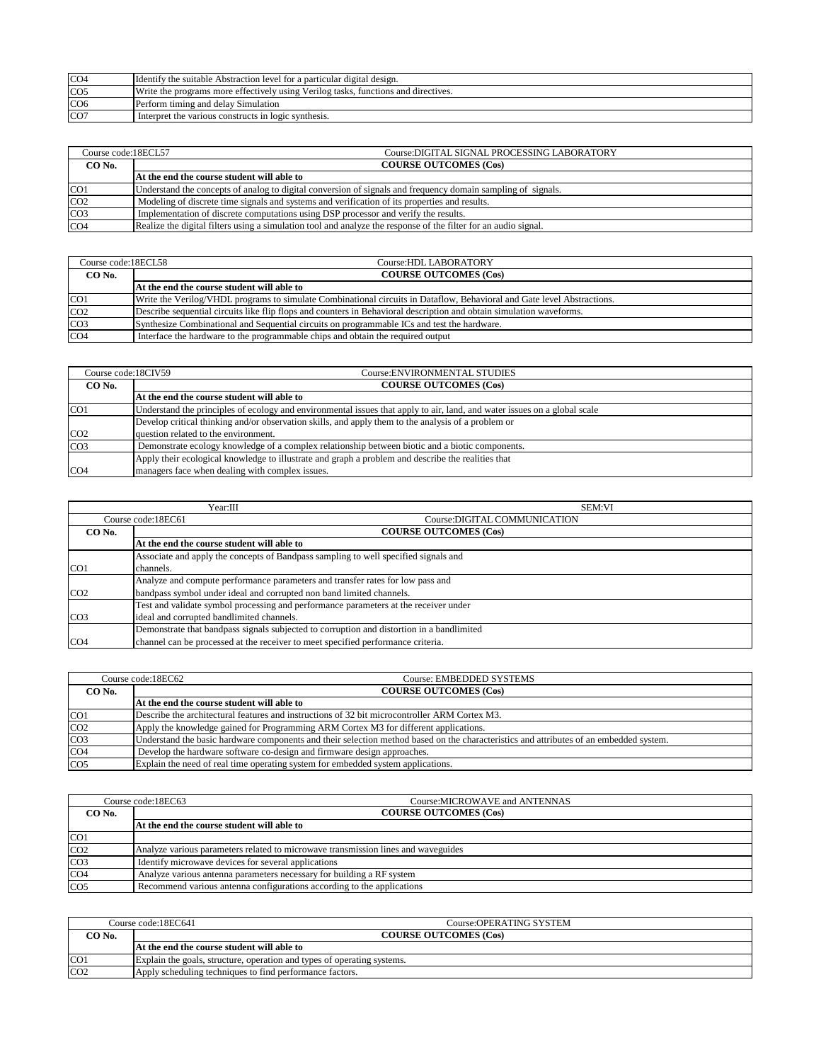| CO <sub>4</sub> | Identify the suitable Abstraction level for a particular digital design.           |
|-----------------|------------------------------------------------------------------------------------|
| CO <sub>5</sub> | Write the programs more effectively using Verilog tasks, functions and directives. |
| CO <sub>6</sub> | Perform timing and delay Simulation                                                |
| CO <sub>7</sub> | Interpret the various constructs in logic synthesis.                               |

| Course code:18ECL57 | Course:DIGITAL SIGNAL PROCESSING LABORATORY                                                                     |
|---------------------|-----------------------------------------------------------------------------------------------------------------|
| CO No.              | <b>COURSE OUTCOMES (Cos)</b>                                                                                    |
|                     | At the end the course student will able to                                                                      |
| CO <sub>1</sub>     | Understand the concepts of analog to digital conversion of signals and frequency domain sampling of signals.    |
| CO <sub>2</sub>     | Modeling of discrete time signals and systems and verification of its properties and results.                   |
| CO <sub>3</sub>     | Implementation of discrete computations using DSP processor and verify the results.                             |
| CO <sub>4</sub>     | Realize the digital filters using a simulation tool and analyze the response of the filter for an audio signal. |

| Course code:18ECL58 | Course: HDL LABORATORY                                                                                                  |
|---------------------|-------------------------------------------------------------------------------------------------------------------------|
| CO No.              | <b>COURSE OUTCOMES (Cos)</b>                                                                                            |
|                     | At the end the course student will able to                                                                              |
| CO <sub>1</sub>     | Write the Verilog/VHDL programs to simulate Combinational circuits in Dataflow, Behavioral and Gate level Abstractions. |
| CO <sub>2</sub>     | Describe sequential circuits like flip flops and counters in Behavioral description and obtain simulation waveforms.    |
| CO <sub>3</sub>     | Synthesize Combinational and Sequential circuits on programmable ICs and test the hardware.                             |
| CO <sub>4</sub>     | Interface the hardware to the programmable chips and obtain the required output                                         |

| Course code:18CIV59 | Course: ENVIRONMENTAL STUDIES                                                                                             |
|---------------------|---------------------------------------------------------------------------------------------------------------------------|
| CO No.              | <b>COURSE OUTCOMES (Cos)</b>                                                                                              |
|                     | At the end the course student will able to                                                                                |
| CO <sub>1</sub>     | Understand the principles of ecology and environmental issues that apply to air, land, and water issues on a global scale |
|                     | Develop critical thinking and/or observation skills, and apply them to the analysis of a problem or                       |
| CO <sub>2</sub>     | question related to the environment.                                                                                      |
| CO <sub>3</sub>     | Demonstrate ecology knowledge of a complex relationship between biotic and a biotic components.                           |
|                     | Apply their ecological knowledge to illustrate and graph a problem and describe the realities that                        |
| CO <sub>4</sub>     | managers face when dealing with complex issues.                                                                           |

|                 | Year:III                                                                                  | SEM:VI                       |
|-----------------|-------------------------------------------------------------------------------------------|------------------------------|
|                 | Course code:18EC61                                                                        | Course:DIGITAL COMMUNICATION |
| CO No.          | <b>COURSE OUTCOMES (Cos)</b>                                                              |                              |
|                 | At the end the course student will able to                                                |                              |
|                 | Associate and apply the concepts of Bandpass sampling to well specified signals and       |                              |
| CO <sub>1</sub> | channels.                                                                                 |                              |
|                 | Analyze and compute performance parameters and transfer rates for low pass and            |                              |
| CO <sub>2</sub> | bandpass symbol under ideal and corrupted non band limited channels.                      |                              |
|                 | Test and validate symbol processing and performance parameters at the receiver under      |                              |
| CO <sub>3</sub> | ideal and corrupted bandlimited channels.                                                 |                              |
|                 | Demonstrate that bandpass signals subjected to corruption and distortion in a bandlimited |                              |
| CO <sub>4</sub> | channel can be processed at the receiver to meet specified performance criteria.          |                              |

| Course code:18EC62 |  | Course: EMBEDDED SYSTEMS                                                                                                               |
|--------------------|--|----------------------------------------------------------------------------------------------------------------------------------------|
| CO No.             |  | <b>COURSE OUTCOMES (Cos)</b>                                                                                                           |
|                    |  | At the end the course student will able to                                                                                             |
| CO <sub>1</sub>    |  | Describe the architectural features and instructions of 32 bit microcontroller ARM Cortex M3.                                          |
| CO <sub>2</sub>    |  | Apply the knowledge gained for Programming ARM Cortex M3 for different applications.                                                   |
| CO <sub>3</sub>    |  | Understand the basic hardware components and their selection method based on the characteristics and attributes of an embedded system. |
| CO <sub>4</sub>    |  | Develop the hardware software co-design and firmware design approaches.                                                                |
| CO <sub>5</sub>    |  | Explain the need of real time operating system for embedded system applications.                                                       |

| Course code:18EC63 |  | Course: MICROWAVE and ANTENNAS                                                    |  |
|--------------------|--|-----------------------------------------------------------------------------------|--|
| CO No.             |  | <b>COURSE OUTCOMES (Cos)</b>                                                      |  |
|                    |  | At the end the course student will able to                                        |  |
| CO <sub>1</sub>    |  |                                                                                   |  |
| CO <sub>2</sub>    |  | Analyze various parameters related to microwave transmission lines and waveguides |  |
| CO <sub>3</sub>    |  | Identify microwave devices for several applications                               |  |
| CO <sub>4</sub>    |  | Analyze various antenna parameters necessary for building a RF system             |  |
| CO <sub>5</sub>    |  | Recommend various antenna configurations according to the applications            |  |

|                 | Course code:18EC641<br>Course:OPERATING SYSTEM                          |  |
|-----------------|-------------------------------------------------------------------------|--|
| $\circ$ O No.   | <b>COURSE OUTCOMES (Cos)</b>                                            |  |
|                 | At the end the course student will able to                              |  |
| CO <sub>1</sub> | Explain the goals, structure, operation and types of operating systems. |  |
| CO <sub>2</sub> | Apply scheduling techniques to find performance factors.                |  |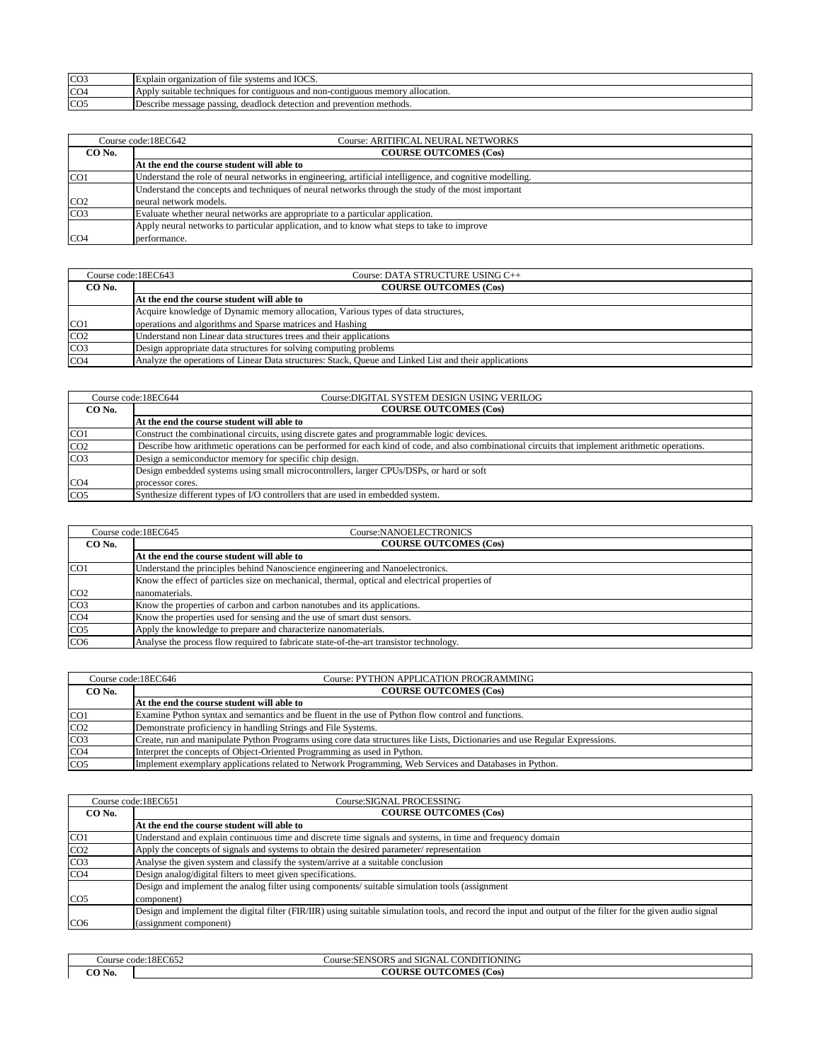| CO <sub>3</sub> | <b>TOCS</b><br>systems :<br>and<br><b>Explain</b><br>zatıc<br>тне                                                           |
|-----------------|-----------------------------------------------------------------------------------------------------------------------------|
| CO <sub>4</sub> | <sup>7</sup> allocation.<br>memor<br>techniques<br>App<br>1911OUS<br>í non-contiguous-<br>suitable<br>: TOT<br>conti<br>and |
| CO <sub>5</sub> | l prevention methods.<br>and<br>. deadlock<br>c detection<br>Describe<br>n passing.<br>e message                            |

|                 | Course code:18EC642<br>Course: ARITIFICAL NEURAL NETWORKS                                                |
|-----------------|----------------------------------------------------------------------------------------------------------|
| CO No.          | <b>COURSE OUTCOMES (Cos)</b>                                                                             |
|                 | At the end the course student will able to                                                               |
| CO <sub>1</sub> | Understand the role of neural networks in engineering, artificial intelligence, and cognitive modelling. |
|                 | Understand the concepts and techniques of neural networks through the study of the most important        |
| CO <sub>2</sub> | neural network models.                                                                                   |
| CO <sub>3</sub> | Evaluate whether neural networks are appropriate to a particular application.                            |
|                 | Apply neural networks to particular application, and to know what steps to take to improve               |
| CO <sub>4</sub> | performance.                                                                                             |

|                 | Course code:18EC643<br>Course: DATA STRUCTURE USING C++                                               |  |
|-----------------|-------------------------------------------------------------------------------------------------------|--|
| CO No.          | <b>COURSE OUTCOMES (Cos)</b>                                                                          |  |
|                 | At the end the course student will able to                                                            |  |
|                 | Acquire knowledge of Dynamic memory allocation, Various types of data structures,                     |  |
| CO <sub>1</sub> | operations and algorithms and Sparse matrices and Hashing                                             |  |
| CO <sub>2</sub> | Understand non Linear data structures trees and their applications                                    |  |
| CO <sub>3</sub> | Design appropriate data structures for solving computing problems                                     |  |
| CO <sub>4</sub> | Analyze the operations of Linear Data structures: Stack, Queue and Linked List and their applications |  |

| Course code:18EC644 |                                                                                 | Course:DIGITAL SYSTEM DESIGN USING VERILOG                                                                                                       |
|---------------------|---------------------------------------------------------------------------------|--------------------------------------------------------------------------------------------------------------------------------------------------|
| CO No.              | <b>COURSE OUTCOMES (Cos)</b>                                                    |                                                                                                                                                  |
|                     |                                                                                 | At the end the course student will able to                                                                                                       |
| CO <sub>1</sub>     |                                                                                 | Construct the combinational circuits, using discrete gates and programmable logic devices.                                                       |
| CO <sub>2</sub>     |                                                                                 | Describe how arithmetic operations can be performed for each kind of code, and also combinational circuits that implement arithmetic operations. |
| CO <sub>3</sub>     | Design a semiconductor memory for specific chip design.                         |                                                                                                                                                  |
|                     |                                                                                 | Design embedded systems using small microcontrollers, larger CPUs/DSPs, or hard or soft                                                          |
| CO <sub>4</sub>     | processor cores.                                                                |                                                                                                                                                  |
| CO <sub>5</sub>     | Synthesize different types of I/O controllers that are used in embedded system. |                                                                                                                                                  |

|                 | Course code:18EC645<br>Course:NANOELECTRONICS                                                  |  |
|-----------------|------------------------------------------------------------------------------------------------|--|
| CO No.          | <b>COURSE OUTCOMES (Cos)</b>                                                                   |  |
|                 | At the end the course student will able to                                                     |  |
| CO1             | Understand the principles behind Nanoscience engineering and Nanoelectronics.                  |  |
|                 | Know the effect of particles size on mechanical, thermal, optical and electrical properties of |  |
| CO <sub>2</sub> | nanomaterials.                                                                                 |  |
| CO <sub>3</sub> | Know the properties of carbon and carbon nanotubes and its applications.                       |  |
| CO <sub>4</sub> | Know the properties used for sensing and the use of smart dust sensors.                        |  |
| CO <sub>5</sub> | Apply the knowledge to prepare and characterize nanomaterials.                                 |  |
| CO <sub>6</sub> | Analyse the process flow required to fabricate state-of-the-art transistor technology.         |  |

|                 | Course code:18EC646                                                                                    | Course: PYTHON APPLICATION PROGRAMMING                                                                                      |
|-----------------|--------------------------------------------------------------------------------------------------------|-----------------------------------------------------------------------------------------------------------------------------|
| CO No.          | <b>COURSE OUTCOMES (Cos)</b>                                                                           |                                                                                                                             |
|                 | At the end the course student will able to                                                             |                                                                                                                             |
| CO <sub>1</sub> |                                                                                                        | Examine Python syntax and semantics and be fluent in the use of Python flow control and functions.                          |
| CO <sub>2</sub> | Demonstrate proficiency in handling Strings and File Systems.                                          |                                                                                                                             |
| CO <sub>3</sub> |                                                                                                        | Create, run and manipulate Python Programs using core data structures like Lists, Dictionaries and use Regular Expressions. |
| CO <sub>4</sub> |                                                                                                        | Interpret the concepts of Object-Oriented Programming as used in Python.                                                    |
| CO <sub>5</sub> | Implement exemplary applications related to Network Programming, Web Services and Databases in Python. |                                                                                                                             |

|                 | Course:SIGNAL PROCESSING<br>Course code:18EC651                                                                                                             |  |
|-----------------|-------------------------------------------------------------------------------------------------------------------------------------------------------------|--|
| CO No.          | <b>COURSE OUTCOMES (Cos)</b>                                                                                                                                |  |
|                 | At the end the course student will able to                                                                                                                  |  |
| CO <sub>1</sub> | Understand and explain continuous time and discrete time signals and systems, in time and frequency domain                                                  |  |
| CO <sub>2</sub> | Apply the concepts of signals and systems to obtain the desired parameter/ representation                                                                   |  |
| CO <sub>3</sub> | Analyse the given system and classify the system/arrive at a suitable conclusion                                                                            |  |
| CO <sub>4</sub> | Design analog/digital filters to meet given specifications.                                                                                                 |  |
|                 | Design and implement the analog filter using components/suitable simulation tools (assignment                                                               |  |
| CO <sub>5</sub> | component)                                                                                                                                                  |  |
|                 | Design and implement the digital filter (FIR/IIR) using suitable simulation tools, and record the input and output of the filter for the given audio signal |  |
| CO <sub>6</sub> | (assignment component)                                                                                                                                      |  |

| Course code:18EC652 |  | Course: SENSORS and SIGNAL CONDITIONING |  |
|---------------------|--|-----------------------------------------|--|
| CO No.              |  | <b>COURSE OUTCOMES (Cos)</b>            |  |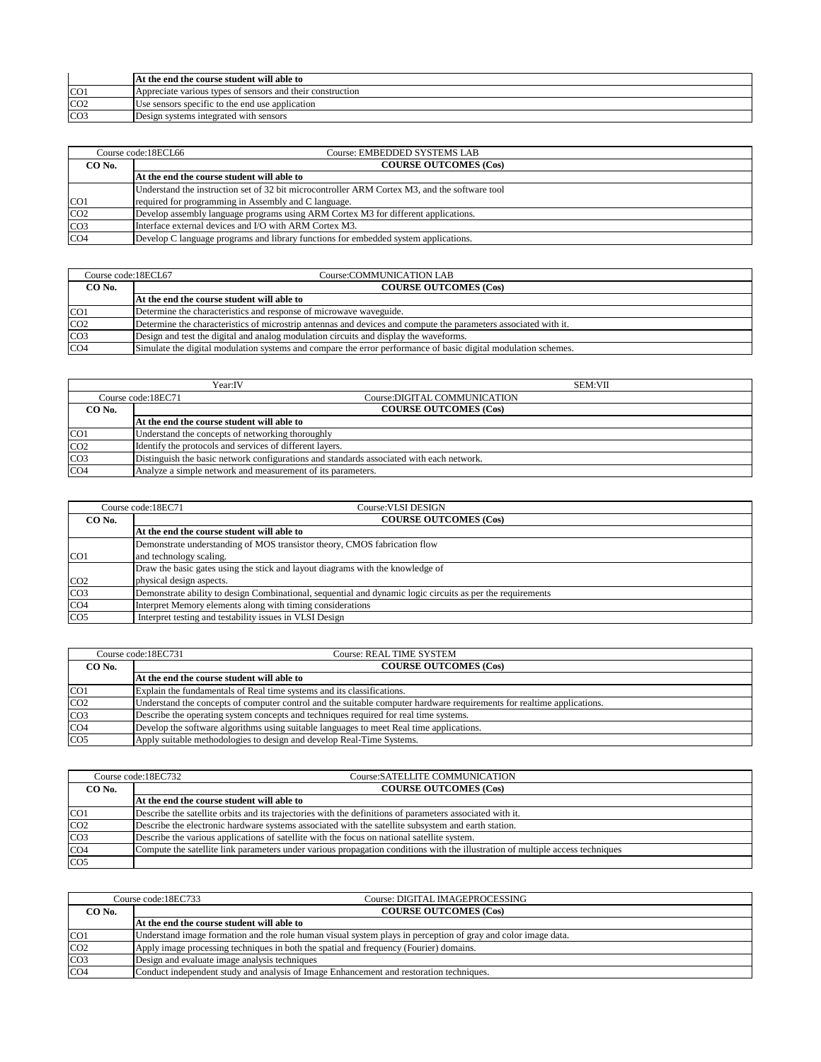|                 | At the end the course student will able to                 |
|-----------------|------------------------------------------------------------|
| CO <sub>1</sub> | Appreciate various types of sensors and their construction |
| CO <sub>2</sub> | Use sensors specific to the end use application            |
| CO <sub>3</sub> | Design systems integrated with sensors                     |

|                 | Course code:18ECL66<br>Course: EMBEDDED SYSTEMS LAB                                           |
|-----------------|-----------------------------------------------------------------------------------------------|
| CO No.          | <b>COURSE OUTCOMES (Cos)</b>                                                                  |
|                 | At the end the course student will able to                                                    |
|                 | Understand the instruction set of 32 bit microcontroller ARM Cortex M3, and the software tool |
| CO <sub>1</sub> | required for programming in Assembly and C language.                                          |
| CO <sub>2</sub> | Develop assembly language programs using ARM Cortex M3 for different applications.            |
| CO <sub>3</sub> | Interface external devices and I/O with ARM Cortex M3.                                        |
| CO <sub>4</sub> | Develop C language programs and library functions for embedded system applications.           |

| Course code:18ECL67 | Course:COMMUNICATION LAB                                                                                        |  |
|---------------------|-----------------------------------------------------------------------------------------------------------------|--|
| CO No.              | <b>COURSE OUTCOMES (Cos)</b>                                                                                    |  |
|                     | At the end the course student will able to                                                                      |  |
| CO <sub>1</sub>     | Determine the characteristics and response of microwave waveguide.                                              |  |
| CO <sub>2</sub>     | Determine the characteristics of microstrip antennas and devices and compute the parameters associated with it. |  |
| CO <sub>3</sub>     | Design and test the digital and analog modulation circuits and display the waveforms.                           |  |
| CO <sub>4</sub>     | Simulate the digital modulation systems and compare the error performance of basic digital modulation schemes.  |  |

|                 | Year:IV                                                                                  | <b>SEM:VII</b> |
|-----------------|------------------------------------------------------------------------------------------|----------------|
|                 | Course:DIGITAL COMMUNICATION<br>Course code:18EC71                                       |                |
| CO No.          | <b>COURSE OUTCOMES (Cos)</b>                                                             |                |
|                 | At the end the course student will able to                                               |                |
| CO <sub>1</sub> | Understand the concepts of networking thoroughly                                         |                |
| CO <sub>2</sub> | Identify the protocols and services of different layers.                                 |                |
| CO <sub>3</sub> | Distinguish the basic network configurations and standards associated with each network. |                |
| CO <sub>4</sub> | Analyze a simple network and measurement of its parameters.                              |                |

|                  | Course: VLSI DESIGN<br>Course code:18EC71                                                                  |  |
|------------------|------------------------------------------------------------------------------------------------------------|--|
| CO No.           | <b>COURSE OUTCOMES (Cos)</b>                                                                               |  |
|                  | At the end the course student will able to                                                                 |  |
|                  | Demonstrate understanding of MOS transistor theory, CMOS fabrication flow                                  |  |
| ICO <sub>1</sub> | and technology scaling.                                                                                    |  |
|                  | Draw the basic gates using the stick and layout diagrams with the knowledge of                             |  |
| CO <sub>2</sub>  | physical design aspects.                                                                                   |  |
| CO <sub>3</sub>  | Demonstrate ability to design Combinational, sequential and dynamic logic circuits as per the requirements |  |
| CO <sub>4</sub>  | Interpret Memory elements along with timing considerations                                                 |  |
| CO <sub>5</sub>  | Interpret testing and testability issues in VLSI Design                                                    |  |

|                 | Course code:18EC731<br>Course: REAL TIME SYSTEM                                                                        |  |
|-----------------|------------------------------------------------------------------------------------------------------------------------|--|
| CO No.          | <b>COURSE OUTCOMES (Cos)</b>                                                                                           |  |
|                 | At the end the course student will able to                                                                             |  |
| CO <sub>1</sub> | Explain the fundamentals of Real time systems and its classifications.                                                 |  |
| CO <sub>2</sub> | Understand the concepts of computer control and the suitable computer hardware requirements for realtime applications. |  |
| CO <sub>3</sub> | Describe the operating system concepts and techniques required for real time systems.                                  |  |
| CO <sub>4</sub> | Develop the software algorithms using suitable languages to meet Real time applications.                               |  |
| CO <sub>5</sub> | Apply suitable methodologies to design and develop Real-Time Systems.                                                  |  |

|                 | Course code:18EC732<br>Course: SATELLITE COMMUNICATION                                                                         |  |
|-----------------|--------------------------------------------------------------------------------------------------------------------------------|--|
| CO No.          | <b>COURSE OUTCOMES (Cos)</b>                                                                                                   |  |
|                 | At the end the course student will able to                                                                                     |  |
| CO <sub>1</sub> | Describe the satellite orbits and its trajectories with the definitions of parameters associated with it.                      |  |
| CO <sub>2</sub> | Describe the electronic hardware systems associated with the satellite subsystem and earth station.                            |  |
| CO <sub>3</sub> | Describe the various applications of satellite with the focus on national satellite system.                                    |  |
| CO <sub>4</sub> | Compute the satellite link parameters under various propagation conditions with the illustration of multiple access techniques |  |
| CO <sub>5</sub> |                                                                                                                                |  |

|                 | Course code:18EC733<br>Course: DIGITAL IMAGEPROCESSING                                                        |
|-----------------|---------------------------------------------------------------------------------------------------------------|
| CO No.          | <b>COURSE OUTCOMES (Cos)</b>                                                                                  |
|                 | At the end the course student will able to                                                                    |
| CO <sub>1</sub> | Understand image formation and the role human visual system plays in perception of gray and color image data. |
| CO <sub>2</sub> | Apply image processing techniques in both the spatial and frequency (Fourier) domains.                        |
| CO <sub>3</sub> | Design and evaluate image analysis techniques                                                                 |
| CO <sub>4</sub> | Conduct independent study and analysis of Image Enhancement and restoration techniques.                       |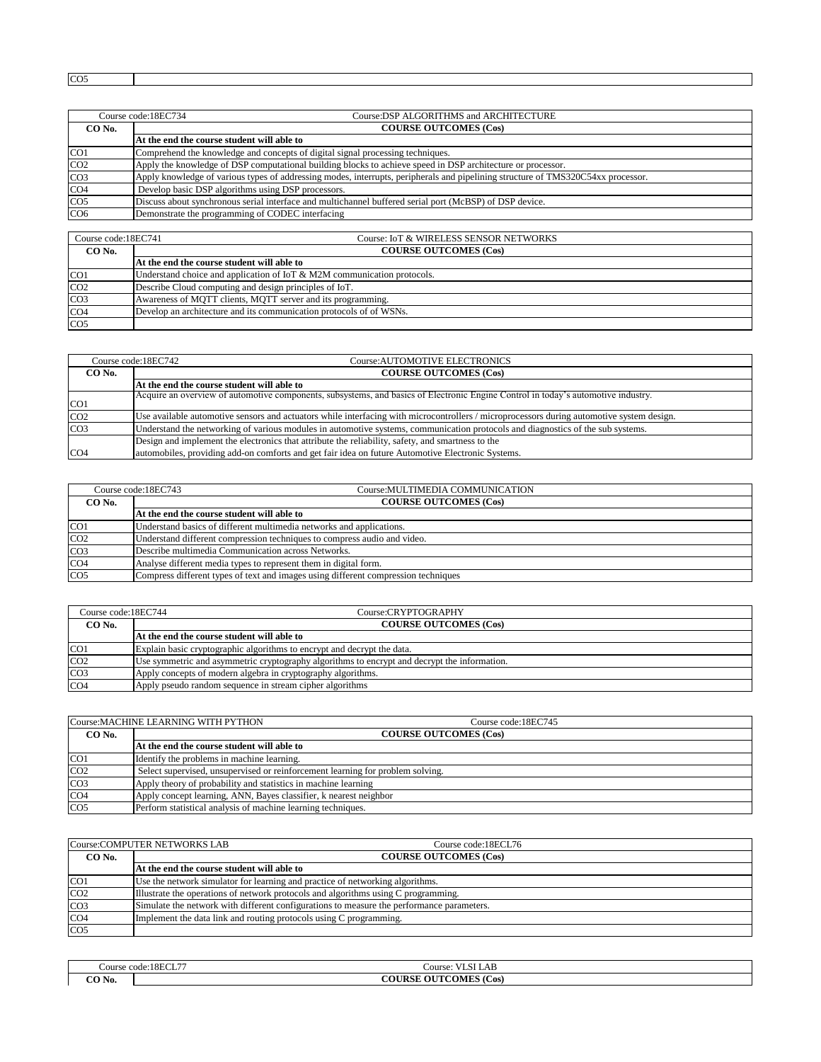CO5

| Course code:18EC734 |                                                               | Course: DSP ALGORITHMS and ARCHITECTURE                                                                                          |  |
|---------------------|---------------------------------------------------------------|----------------------------------------------------------------------------------------------------------------------------------|--|
| CO No.              |                                                               | <b>COURSE OUTCOMES (Cos)</b>                                                                                                     |  |
|                     |                                                               | At the end the course student will able to                                                                                       |  |
| CO <sub>1</sub>     |                                                               | Comprehend the knowledge and concepts of digital signal processing techniques.                                                   |  |
| CO <sub>2</sub>     |                                                               | Apply the knowledge of DSP computational building blocks to achieve speed in DSP architecture or processor.                      |  |
| CO <sub>3</sub>     |                                                               | Apply knowledge of various types of addressing modes, interrupts, peripherals and pipelining structure of TMS320C54xx processor. |  |
| CO <sub>4</sub>     |                                                               | Develop basic DSP algorithms using DSP processors.                                                                               |  |
| CO <sub>5</sub>     |                                                               | Discuss about synchronous serial interface and multichannel buffered serial port (McBSP) of DSP device.                          |  |
| CO6                 |                                                               | Demonstrate the programming of CODEC interfacing                                                                                 |  |
|                     |                                                               |                                                                                                                                  |  |
|                     | Course: IoT & WIRELESS SENSOR NETWORKS<br>Course code:18EC741 |                                                                                                                                  |  |

| $\frac{1}{2}$   | Course, for a minimized served in the monde                                |  |
|-----------------|----------------------------------------------------------------------------|--|
| CO No.          | <b>COURSE OUTCOMES (Cos)</b>                                               |  |
|                 | At the end the course student will able to                                 |  |
| CO <sub>1</sub> | Understand choice and application of IoT $\&$ M2M communication protocols. |  |
| CO <sub>2</sub> | Describe Cloud computing and design principles of IoT.                     |  |
| CO <sub>3</sub> | Awareness of MOTT clients, MOTT server and its programming.                |  |
| CO <sub>4</sub> | Develop an architecture and its communication protocols of of WSNs.        |  |
| CO <sub>5</sub> |                                                                            |  |

| Course code:18EC742 |  | Course: AUTOMOTIVE ELECTRONICS                                                                                                            |  |
|---------------------|--|-------------------------------------------------------------------------------------------------------------------------------------------|--|
| CO No.              |  | <b>COURSE OUTCOMES (Cos)</b>                                                                                                              |  |
|                     |  | At the end the course student will able to                                                                                                |  |
| CO <sub>1</sub>     |  | Acquire an overview of automotive components, subsystems, and basics of Electronic Engine Control in today's automotive industry.         |  |
| CO <sub>2</sub>     |  | Use available automotive sensors and actuators while interfacing with microcontrollers / microprocessors during automotive system design. |  |
| CO <sub>3</sub>     |  | Understand the networking of various modules in automotive systems, communication protocols and diagnostics of the sub systems.           |  |
|                     |  | Design and implement the electronics that attribute the reliability, safety, and smartness to the                                         |  |
| CO <sub>4</sub>     |  | automobiles, providing add-on comforts and get fair idea on future Automotive Electronic Systems.                                         |  |

|                 | Course code:18EC743<br>Course: MULTIMEDIA COMMUNICATION                            |  |
|-----------------|------------------------------------------------------------------------------------|--|
| CO No.          | <b>COURSE OUTCOMES (Cos)</b>                                                       |  |
|                 | At the end the course student will able to                                         |  |
| CO <sub>1</sub> | Understand basics of different multimedia networks and applications.               |  |
| CO <sub>2</sub> | Understand different compression techniques to compress audio and video.           |  |
| CO <sub>3</sub> | Describe multimedia Communication across Networks.                                 |  |
| CO <sub>4</sub> | Analyse different media types to represent them in digital form.                   |  |
| CO <sub>5</sub> | Compress different types of text and images using different compression techniques |  |

| Course code:18EC744 | Course:CRYPTOGRAPHY                                                                          |
|---------------------|----------------------------------------------------------------------------------------------|
| CO No.              | <b>COURSE OUTCOMES (Cos)</b>                                                                 |
|                     | At the end the course student will able to                                                   |
| CO <sub>1</sub>     | Explain basic cryptographic algorithms to encrypt and decrypt the data.                      |
| CO <sub>2</sub>     | Use symmetric and asymmetric cryptography algorithms to encrypt and decrypt the information. |
| CO <sub>3</sub>     | Apply concepts of modern algebra in cryptography algorithms.                                 |
| CO <sub>4</sub>     | Apply pseudo random sequence in stream cipher algorithms                                     |

|                 | Course: MACHINE LEARNING WITH PYTHON<br>Course code:18EC745                    |
|-----------------|--------------------------------------------------------------------------------|
| CO No.          | <b>COURSE OUTCOMES (Cos)</b>                                                   |
|                 | At the end the course student will able to                                     |
| CO <sub>1</sub> | Identify the problems in machine learning.                                     |
| CO <sub>2</sub> | Select supervised, unsupervised or reinforcement learning for problem solving. |
| CO <sub>3</sub> | Apply theory of probability and statistics in machine learning                 |
| CO <sub>4</sub> | Apply concept learning, ANN, Bayes classifier, k nearest neighbor              |
| CO <sub>5</sub> | Perform statistical analysis of machine learning techniques.                   |

|                 | Course:COMPUTER NETWORKS LAB<br>Course code:18ECL76                                       |
|-----------------|-------------------------------------------------------------------------------------------|
| CO No.          | <b>COURSE OUTCOMES (Cos)</b>                                                              |
|                 | At the end the course student will able to                                                |
| CO <sub>1</sub> | Use the network simulator for learning and practice of networking algorithms.             |
| CO <sub>2</sub> | Illustrate the operations of network protocols and algorithms using C programming.        |
| CO <sub>3</sub> | Simulate the network with different configurations to measure the performance parameters. |
| CO <sub>4</sub> | Implement the data link and routing protocols using C programming.                        |
| CO <sub>5</sub> |                                                                                           |

|        | Course code:18ECL77 | $\mathbf{v}$ $\mathbf{v}$ $\mathbf{v}$ $\mathbf{v}$ $\mathbf{v}$<br><b>VLSI LAB</b><br>Course: |  |
|--------|---------------------|------------------------------------------------------------------------------------------------|--|
| CO No. |                     | <b>COURSE OUTCOMES (Cos)</b>                                                                   |  |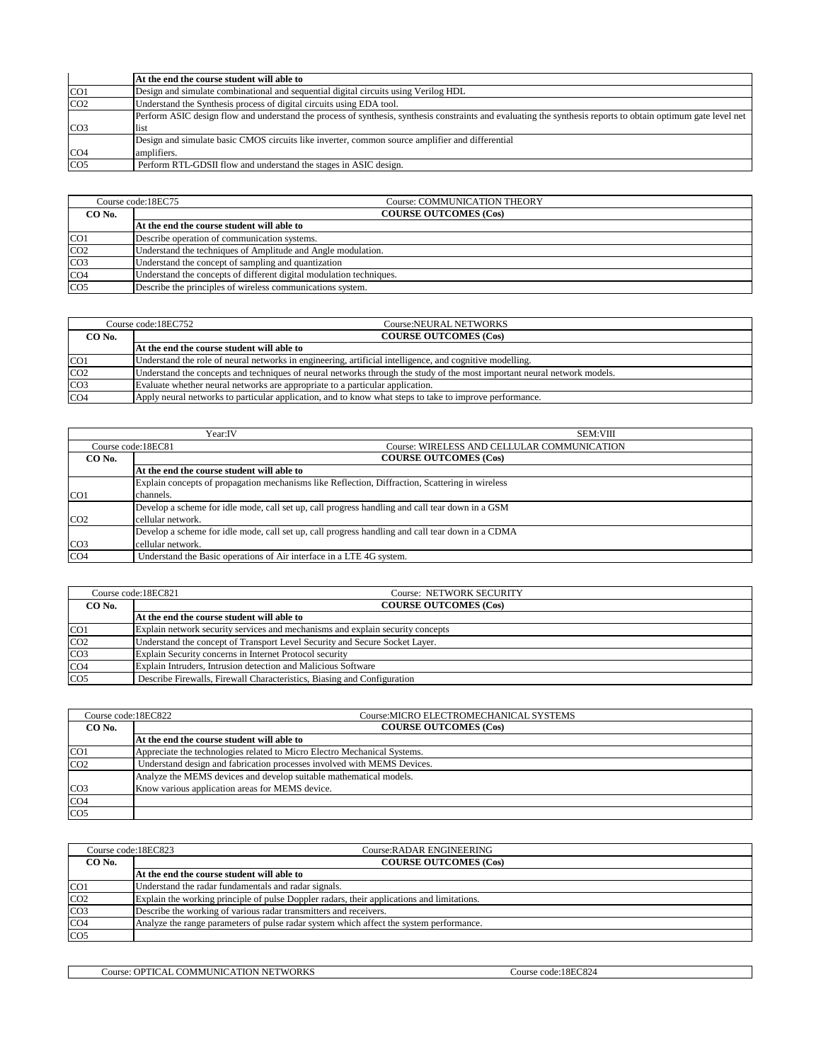|                 | At the end the course student will able to                                                                                                                    |
|-----------------|---------------------------------------------------------------------------------------------------------------------------------------------------------------|
| CO <sub>1</sub> | Design and simulate combinational and sequential digital circuits using Verilog HDL                                                                           |
| CO <sub>2</sub> | Understand the Synthesis process of digital circuits using EDA tool.                                                                                          |
|                 | Perform ASIC design flow and understand the process of synthesis, synthesis constraints and evaluating the synthesis reports to obtain optimum gate level net |
| CO <sub>3</sub> | list                                                                                                                                                          |
|                 | Design and simulate basic CMOS circuits like inverter, common source amplifier and differential                                                               |
| CO <sub>4</sub> | amplifiers.                                                                                                                                                   |
| CO <sub>5</sub> | Perform RTL-GDSII flow and understand the stages in ASIC design.                                                                                              |

|                 | Course code:18EC75<br>Course: COMMUNICATION THEORY                  |  |
|-----------------|---------------------------------------------------------------------|--|
| CO No.          | <b>COURSE OUTCOMES (Cos)</b>                                        |  |
|                 | At the end the course student will able to                          |  |
| CO <sub>1</sub> | Describe operation of communication systems.                        |  |
| CO <sub>2</sub> | Understand the techniques of Amplitude and Angle modulation.        |  |
| CO <sub>3</sub> | Understand the concept of sampling and quantization                 |  |
| CO <sub>4</sub> | Understand the concepts of different digital modulation techniques. |  |
| CO <sub>5</sub> | Describe the principles of wireless communications system.          |  |

| Course code:18EC752 |  | Course:NEURAL NETWORKS                                                                                                   |
|---------------------|--|--------------------------------------------------------------------------------------------------------------------------|
| CO No.              |  | <b>COURSE OUTCOMES (Cos)</b>                                                                                             |
|                     |  | At the end the course student will able to                                                                               |
| CO <sub>1</sub>     |  | Understand the role of neural networks in engineering, artificial intelligence, and cognitive modelling.                 |
| CO <sub>2</sub>     |  | Understand the concepts and techniques of neural networks through the study of the most important neural network models. |
| CO <sub>3</sub>     |  | Evaluate whether neural networks are appropriate to a particular application.                                            |
| CO <sub>4</sub>     |  | Apply neural networks to particular application, and to know what steps to take to improve performance.                  |

|                 | Year:IV<br><b>SEM:VIII</b>                                                                       |  |
|-----------------|--------------------------------------------------------------------------------------------------|--|
|                 | Course: WIRELESS AND CELLULAR COMMUNICATION<br>Course code:18EC81                                |  |
| CO No.          | <b>COURSE OUTCOMES (Cos)</b>                                                                     |  |
|                 | At the end the course student will able to                                                       |  |
|                 | Explain concepts of propagation mechanisms like Reflection, Diffraction, Scattering in wireless  |  |
| CO <sub>1</sub> | channels.                                                                                        |  |
|                 | Develop a scheme for idle mode, call set up, call progress handling and call tear down in a GSM  |  |
| CO <sub>2</sub> | cellular network.                                                                                |  |
|                 | Develop a scheme for idle mode, call set up, call progress handling and call tear down in a CDMA |  |
| CO <sub>3</sub> | cellular network.                                                                                |  |
| CO <sub>4</sub> | Understand the Basic operations of Air interface in a LTE 4G system.                             |  |

|                 | Course code:18EC821<br><b>Course: NETWORK SECURITY</b>                         |  |
|-----------------|--------------------------------------------------------------------------------|--|
| CO No.          | <b>COURSE OUTCOMES (Cos)</b>                                                   |  |
|                 | At the end the course student will able to                                     |  |
| CO <sub>1</sub> | Explain network security services and mechanisms and explain security concepts |  |
| CO <sub>2</sub> | Understand the concept of Transport Level Security and Secure Socket Layer.    |  |
| CO <sub>3</sub> | Explain Security concerns in Internet Protocol security                        |  |
| CO <sub>4</sub> | Explain Intruders, Intrusion detection and Malicious Software                  |  |
| CO <sub>5</sub> | Describe Firewalls, Firewall Characteristics, Biasing and Configuration        |  |

| Course code:18EC822 | Course: MICRO ELECTROMECHANICAL SYSTEMS                                  |  |
|---------------------|--------------------------------------------------------------------------|--|
| CO No.              | <b>COURSE OUTCOMES (Cos)</b>                                             |  |
|                     | At the end the course student will able to                               |  |
| CO <sub>1</sub>     | Appreciate the technologies related to Micro Electro Mechanical Systems. |  |
| CO <sub>2</sub>     | Understand design and fabrication processes involved with MEMS Devices.  |  |
|                     | Analyze the MEMS devices and develop suitable mathematical models.       |  |
| CO <sub>3</sub>     | Know various application areas for MEMS device.                          |  |
| CO <sub>4</sub>     |                                                                          |  |
| CO <sub>5</sub>     |                                                                          |  |

| Course code:18EC823 | Course: RADAR ENGINEERING                                                                  |  |
|---------------------|--------------------------------------------------------------------------------------------|--|
| CO No.              | <b>COURSE OUTCOMES (Cos)</b>                                                               |  |
|                     | At the end the course student will able to                                                 |  |
| CO <sub>1</sub>     | Understand the radar fundamentals and radar signals.                                       |  |
| CO <sub>2</sub>     | Explain the working principle of pulse Doppler radars, their applications and limitations. |  |
| CO <sub>3</sub>     | Describe the working of various radar transmitters and receivers.                          |  |
| CO <sub>4</sub>     | Analyze the range parameters of pulse radar system which affect the system performance.    |  |
| CO <sub>5</sub>     |                                                                                            |  |